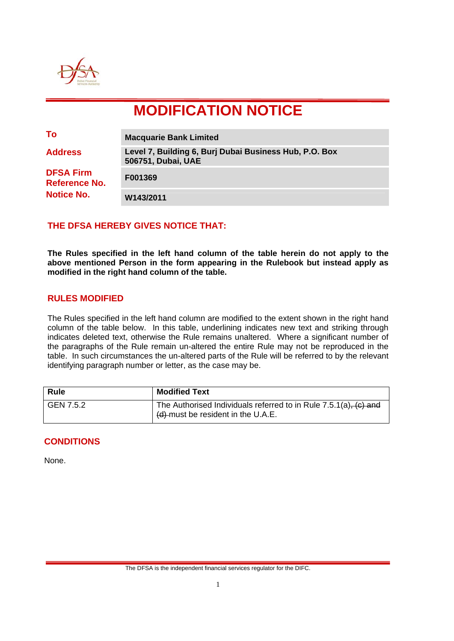

# **MODIFICATION NOTICE**

| To                                                                              | <b>Macquarie Bank Limited</b>                                                |
|---------------------------------------------------------------------------------|------------------------------------------------------------------------------|
| <b>Address</b><br><b>DFSA Firm</b><br><b>Reference No.</b><br><b>Notice No.</b> | Level 7, Building 6, Burj Dubai Business Hub, P.O. Box<br>506751, Dubai, UAE |
|                                                                                 | F001369                                                                      |
|                                                                                 | W143/2011                                                                    |

# **THE DFSA HEREBY GIVES NOTICE THAT:**

**The Rules specified in the left hand column of the table herein do not apply to the above mentioned Person in the form appearing in the Rulebook but instead apply as modified in the right hand column of the table.** 

#### **RULES MODIFIED**

The Rules specified in the left hand column are modified to the extent shown in the right hand column of the table below. In this table, underlining indicates new text and striking through indicates deleted text, otherwise the Rule remains unaltered. Where a significant number of the paragraphs of the Rule remain un-altered the entire Rule may not be reproduced in the table. In such circumstances the un-altered parts of the Rule will be referred to by the relevant identifying paragraph number or letter, as the case may be.

| <b>Rule</b> | <b>Modified Text</b>                                                                                   |
|-------------|--------------------------------------------------------------------------------------------------------|
| GEN 7.5.2   | The Authorised Individuals referred to in Rule 7.5.1(a), (c) and<br>(d)-must be resident in the U.A.E. |

# **CONDITIONS**

None.